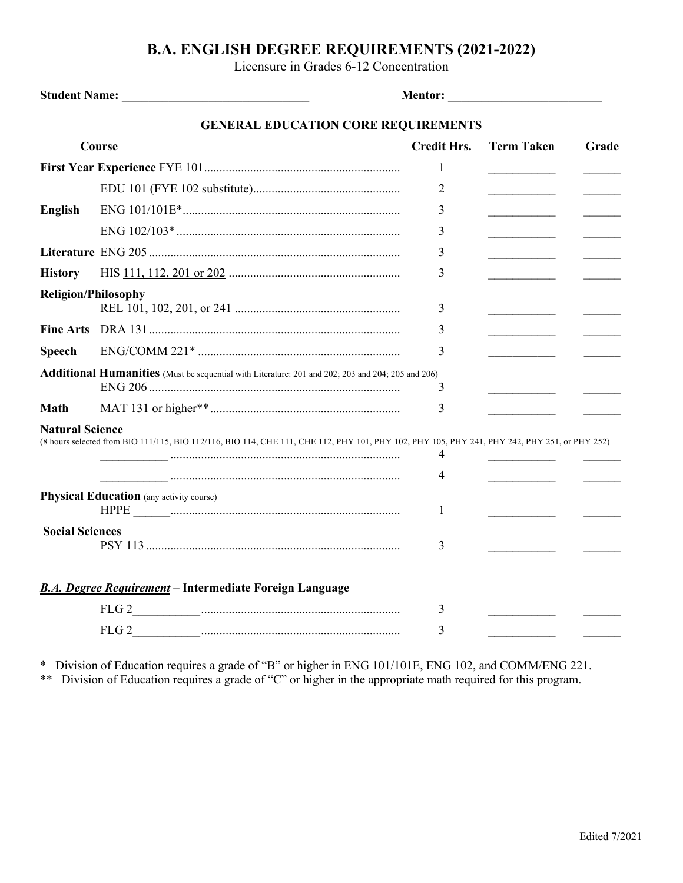## **B.A. ENGLISH DEGREE REQUIREMENTS (2021-2022)**

Licensure in Grades 6-12 Concentration

**Student Name:** \_\_\_\_\_\_\_\_\_\_\_\_\_\_\_\_\_\_\_\_\_\_\_\_\_\_\_\_ **Mentor:** \_\_\_\_\_\_\_\_\_\_\_\_\_\_\_\_\_\_\_\_\_\_\_ **GENERAL EDUCATION CORE REQUIREMENTS Course Credit Hrs. Term Taken Grade First Year Experience** FYE 101................................................................ 1 \_\_\_\_\_\_\_\_\_\_\_ \_\_\_\_\_\_ EDU 101 (FYE 102 substitute)................................................ 2 \_\_\_\_\_\_\_\_\_\_\_ \_\_\_\_\_\_ **English** ENG 101/101E\*....................................................................... 3 \_\_\_\_\_\_\_\_\_\_\_ \_\_\_\_\_\_ ENG 102/103\*......................................................................... 3 \_\_\_\_\_\_\_\_\_\_\_ \_\_\_\_\_\_ **Literature** ENG 205 .................................................................................. 3 \_\_\_\_\_\_\_\_\_\_\_ \_\_\_\_\_\_ **History** HIS 111, 112, 201 or 202 ........................................................ 3 \_\_\_\_\_\_\_\_\_\_\_ \_\_\_\_\_\_ **Religion/Philosophy** REL 101, 102, 201, or 241 ...................................................... 3 \_\_\_\_\_\_\_\_\_\_\_ \_\_\_\_\_\_ **Fine Arts** DRA 131.................................................................................. 3 \_\_\_\_\_\_\_\_\_\_\_ \_\_\_\_\_\_ **Speech** ENG/COMM 221\* .................................................................. 3 \_\_\_\_\_\_\_\_\_\_\_ \_\_\_\_\_\_ **Additional Humanities** (Must be sequential with Literature: 201 and 202; 203 and 204; 205 and 206) ENG 206 .................................................................................. 3 \_\_\_\_\_\_\_\_\_\_\_ \_\_\_\_\_\_ **Math** MAT 131 or higher\*\*.............................................................. 3 \_\_\_\_\_\_\_\_\_\_\_ \_\_\_\_\_\_ **Natural Science**  (8 hours selected from BIO 111/115, BIO 112/116, BIO 114, CHE 111, CHE 112, PHY 101, PHY 102, PHY 105, PHY 241, PHY 242, PHY 251, or PHY 252) \_\_\_\_\_\_\_\_\_\_\_ ........................................................................... 4 \_\_\_\_\_\_\_\_\_\_\_ \_\_\_\_\_\_ \_\_\_\_\_\_\_\_\_\_\_ ........................................................................... 4 \_\_\_\_\_\_\_\_\_\_\_ \_\_\_\_\_\_ **Physical Education** (any activity course) HPPE \_\_\_\_\_\_........................................................................... 1 \_\_\_\_\_\_\_\_\_\_\_ \_\_\_\_\_\_ **Social Sciences**  PSY 113................................................................................... 3 \_\_\_\_\_\_\_\_\_\_\_ \_\_\_\_\_\_ *B.A. Degree Requirement* **– Intermediate Foreign Language**  $FLG$  2  $\ldots$   $\ldots$   $\ldots$   $\ldots$   $\ldots$   $\ldots$   $\ldots$   $\ldots$   $\ldots$   $\ldots$   $\ldots$   $\ldots$   $\ldots$  3 FLG 2  $\ldots$   $\ldots$   $\ldots$   $\ldots$   $\ldots$   $\ldots$   $\ldots$   $\ldots$   $\ldots$   $\ldots$   $\ldots$   $\ldots$   $\ldots$   $\ldots$  3

Division of Education requires a grade of "B" or higher in ENG 101/101E, ENG 102, and COMM/ENG 221.

\*\* Division of Education requires a grade of "C" or higher in the appropriate math required for this program.